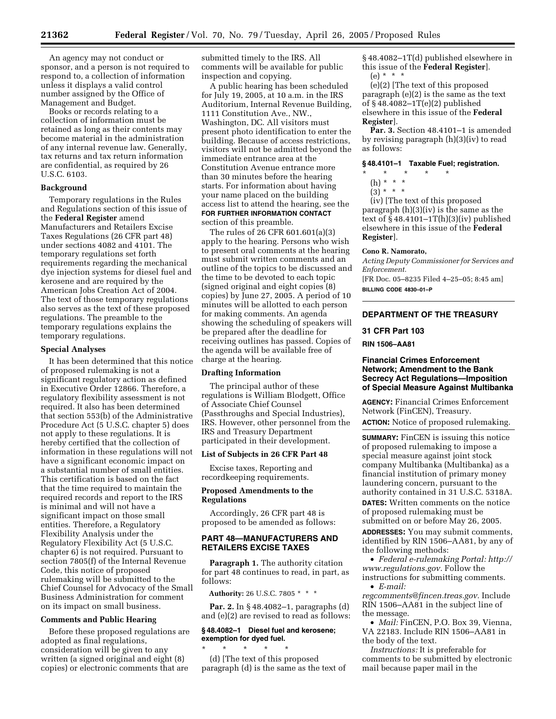An agency may not conduct or sponsor, and a person is not required to respond to, a collection of information unless it displays a valid control number assigned by the Office of Management and Budget.

Books or records relating to a collection of information must be retained as long as their contents may become material in the administration of any internal revenue law. Generally, tax returns and tax return information are confidential, as required by 26 U.S.C. 6103.

# **Background**

Temporary regulations in the Rules and Regulations section of this issue of the **Federal Register** amend Manufacturers and Retailers Excise Taxes Regulations (26 CFR part 48) under sections 4082 and 4101. The temporary regulations set forth requirements regarding the mechanical dye injection systems for diesel fuel and kerosene and are required by the American Jobs Creation Act of 2004. The text of those temporary regulations also serves as the text of these proposed regulations. The preamble to the temporary regulations explains the temporary regulations.

#### **Special Analyses**

It has been determined that this notice of proposed rulemaking is not a significant regulatory action as defined in Executive Order 12866. Therefore, a regulatory flexibility assessment is not required. It also has been determined that section 553(b) of the Administrative Procedure Act (5 U.S.C. chapter 5) does not apply to these regulations. It is hereby certified that the collection of information in these regulations will not have a significant economic impact on a substantial number of small entities. This certification is based on the fact that the time required to maintain the required records and report to the IRS is minimal and will not have a significant impact on those small entities. Therefore, a Regulatory Flexibility Analysis under the Regulatory Flexibility Act (5 U.S.C. chapter 6) is not required. Pursuant to section 7805(f) of the Internal Revenue Code, this notice of proposed rulemaking will be submitted to the Chief Counsel for Advocacy of the Small Business Administration for comment on its impact on small business.

#### **Comments and Public Hearing**

Before these proposed regulations are adopted as final regulations, consideration will be given to any written (a signed original and eight (8) copies) or electronic comments that are

submitted timely to the IRS. All comments will be available for public inspection and copying.

A public hearing has been scheduled for July 19, 2005, at 10 a.m. in the IRS Auditorium, Internal Revenue Building, 1111 Constitution Ave., NW., Washington, DC. All visitors must present photo identification to enter the building. Because of access restrictions, visitors will not be admitted beyond the immediate entrance area at the Constitution Avenue entrance more than 30 minutes before the hearing starts. For information about having your name placed on the building access list to attend the hearing, see the **FOR FURTHER INFORMATION CONTACT** section of this preamble.

The rules of 26 CFR 601.601(a)(3) apply to the hearing. Persons who wish to present oral comments at the hearing must submit written comments and an outline of the topics to be discussed and the time to be devoted to each topic (signed original and eight copies (8) copies) by June 27, 2005. A period of 10 minutes will be allotted to each person for making comments. An agenda showing the scheduling of speakers will be prepared after the deadline for receiving outlines has passed. Copies of the agenda will be available free of charge at the hearing.

#### **Drafting Information**

The principal author of these regulations is William Blodgett, Office of Associate Chief Counsel (Passthroughs and Special Industries), IRS. However, other personnel from the IRS and Treasury Department participated in their development.

#### **List of Subjects in 26 CFR Part 48**

Excise taxes, Reporting and recordkeeping requirements.

# **Proposed Amendments to the Regulations**

Accordingly, 26 CFR part 48 is proposed to be amended as follows:

# **PART 48—MANUFACTURERS AND RETAILERS EXCISE TAXES**

**Paragraph 1.** The authority citation for part 48 continues to read, in part, as follows:

**Authority:** 26 U.S.C. 7805 \* \* \*

**Par. 2.** In § 48.4082–1, paragraphs (d) and (e)(2) are revised to read as follows:

# **§ 48.4082–1 Diesel fuel and kerosene; exemption for dyed fuel.**

\* \* \* \* \* (d) [The text of this proposed paragraph (d) is the same as the text of § 48.4082–1T(d) published elsewhere in this issue of the **Federal Register**].  $(e) * * * *$ 

(e)(2) [The text of this proposed paragraph (e)(2) is the same as the text of § 48.4082–1T(e)(2) published elsewhere in this issue of the **Federal Register**].

**Par. 3.** Section 48.4101–1 is amended by revising paragraph (h)(3)(iv) to read as follows:

# **§ 48.4101–1 Taxable Fuel; registration.**

- \* \* \* \* \*
	- (h) \* \* \*
	- $(3) * * * *$

(iv) [The text of this proposed paragraph (h)(3)(iv) is the same as the text of  $§$  48.4101–1T(h)(3)(iv) published elsewhere in this issue of the **Federal Register**].

#### **Cono R. Namorato,**

*Acting Deputy Commissioner for Services and Enforcement.*

[FR Doc. 05–8235 Filed 4–25–05; 8:45 am] **BILLING CODE 4830–01–P**

# **DEPARTMENT OF THE TREASURY**

# **31 CFR Part 103**

**RIN 1506–AA81** 

# **Financial Crimes Enforcement Network; Amendment to the Bank Secrecy Act Regulations—Imposition of Special Measure Against Multibanka**

**AGENCY:** Financial Crimes Enforcement Network (FinCEN), Treasury.

**ACTION:** Notice of proposed rulemaking.

**SUMMARY:** FinCEN is issuing this notice of proposed rulemaking to impose a special measure against joint stock company Multibanka (Multibanka) as a financial institution of primary money laundering concern, pursuant to the authority contained in 31 U.S.C. 5318A. **DATES:** Written comments on the notice

of proposed rulemaking must be submitted on or before May 26, 2005.

**ADDRESSES:** You may submit comments, identified by RIN 1506–AA81, by any of the following methods:

• *[Federal e-rulemaking Portal: http://](http://www.regulations.gov) www.regulations.gov.* Follow the instructions for submitting comments.

• *E-mail:* 

*[regcomments@fincen.treas.gov.](mailto:regcomments@fincen.treas.gov)* Include RIN 1506–AA81 in the subject line of the message.

• *Mail:* FinCEN, P.O. Box 39, Vienna, VA 22183. Include RIN 1506–AA81 in the body of the text.

*Instructions:* It is preferable for comments to be submitted by electronic mail because paper mail in the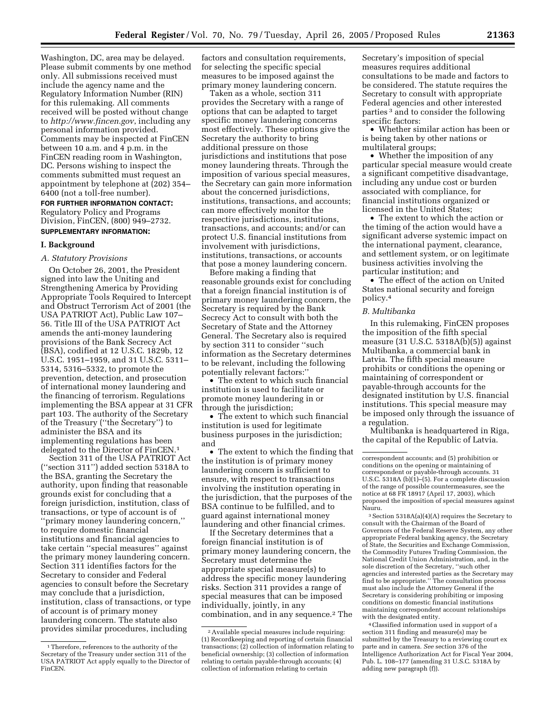Washington, DC, area may be delayed. Please submit comments by one method only. All submissions received must include the agency name and the Regulatory Information Number (RIN) for this rulemaking. All comments received will be posted without change to *<http://www.fincen.gov>*, including any personal information provided. Comments may be inspected at FinCEN between 10 a.m. and 4 p.m. in the FinCEN reading room in Washington, DC. Persons wishing to inspect the comments submitted must request an appointment by telephone at (202) 354– 6400 (not a toll-free number).

# **FOR FURTHER INFORMATION CONTACT:** Regulatory Policy and Programs Division, FinCEN, (800) 949–2732.

# **SUPPLEMENTARY INFORMATION:**

# **I. Background**

# *A. Statutory Provisions*

On October 26, 2001, the President signed into law the Uniting and Strengthening America by Providing Appropriate Tools Required to Intercept and Obstruct Terrorism Act of 2001 (the USA PATRIOT Act), Public Law 107– 56. Title III of the USA PATRIOT Act amends the anti-money laundering provisions of the Bank Secrecy Act (BSA), codified at 12 U.S.C. 1829b, 12 U.S.C. 1951–1959, and 31 U.S.C. 5311– 5314, 5316–5332, to promote the prevention, detection, and prosecution of international money laundering and the financing of terrorism. Regulations implementing the BSA appear at 31 CFR part 103. The authority of the Secretary of the Treasury (''the Secretary'') to administer the BSA and its implementing regulations has been delegated to the Director of FinCEN.1

Section 311 of the USA PATRIOT Act (''section 311'') added section 5318A to the BSA, granting the Secretary the authority, upon finding that reasonable grounds exist for concluding that a foreign jurisdiction, institution, class of transactions, or type of account is of ''primary money laundering concern,'' to require domestic financial institutions and financial agencies to take certain ''special measures'' against the primary money laundering concern. Section 311 identifies factors for the Secretary to consider and Federal agencies to consult before the Secretary may conclude that a jurisdiction, institution, class of transactions, or type of account is of primary money laundering concern. The statute also provides similar procedures, including

factors and consultation requirements, for selecting the specific special measures to be imposed against the primary money laundering concern.

Taken as a whole, section 311 provides the Secretary with a range of options that can be adapted to target specific money laundering concerns most effectively. These options give the Secretary the authority to bring additional pressure on those jurisdictions and institutions that pose money laundering threats. Through the imposition of various special measures, the Secretary can gain more information about the concerned jurisdictions, institutions, transactions, and accounts; can more effectively monitor the respective jurisdictions, institutions, transactions, and accounts; and/or can protect U.S. financial institutions from involvement with jurisdictions, institutions, transactions, or accounts that pose a money laundering concern.

Before making a finding that reasonable grounds exist for concluding that a foreign financial institution is of primary money laundering concern, the Secretary is required by the Bank Secrecy Act to consult with both the Secretary of State and the Attorney General. The Secretary also is required by section 311 to consider ''such information as the Secretary determines to be relevant, including the following potentially relevant factors:''

• The extent to which such financial institution is used to facilitate or promote money laundering in or through the jurisdiction;

• The extent to which such financial institution is used for legitimate business purposes in the jurisdiction; and

• The extent to which the finding that the institution is of primary money laundering concern is sufficient to ensure, with respect to transactions involving the institution operating in the jurisdiction, that the purposes of the BSA continue to be fulfilled, and to guard against international money laundering and other financial crimes.

If the Secretary determines that a foreign financial institution is of primary money laundering concern, the Secretary must determine the appropriate special measure(s) to address the specific money laundering risks. Section 311 provides a range of special measures that can be imposed individually, jointly, in any combination, and in any sequence.2 The

Secretary's imposition of special measures requires additional consultations to be made and factors to be considered. The statute requires the Secretary to consult with appropriate Federal agencies and other interested parties 3 and to consider the following specific factors:

• Whether similar action has been or is being taken by other nations or multilateral groups;

• Whether the imposition of any particular special measure would create a significant competitive disadvantage, including any undue cost or burden associated with compliance, for financial institutions organized or licensed in the United States;

• The extent to which the action or the timing of the action would have a significant adverse systemic impact on the international payment, clearance, and settlement system, or on legitimate business activities involving the particular institution; and

• The effect of the action on United States national security and foreign policy.4

#### *B. Multibanka*

In this rulemaking, FinCEN proposes the imposition of the fifth special measure (31 U.S.C. 5318A(b)(5)) against Multibanka, a commercial bank in Latvia. The fifth special measure prohibits or conditions the opening or maintaining of correspondent or payable-through accounts for the designated institution by U.S. financial institutions. This special measure may be imposed only through the issuance of a regulation.

Multibanka is headquartered in Riga, the capital of the Republic of Latvia.

3Section 5318A(a)(4)(A) requires the Secretary to consult with the Chairman of the Board of Governors of the Federal Reserve System, any other appropriate Federal banking agency, the Secretary of State, the Securities and Exchange Commission, the Commodity Futures Trading Commission, the National Credit Union Administration, and, in the sole discretion of the Secretary, ''such other agencies and interested parties as the Secretary may find to be appropriate.'' The consultation process must also include the Attorney General if the Secretary is considering prohibiting or imposing conditions on domestic financial institutions maintaining correspondent account relationships with the designated entity.

4Classified information used in support of a section 311 finding and measure(s) may be submitted by the Treasury to a reviewing court ex parte and in camera. *See* section 376 of the Intelligence Authorization Act for Fiscal Year 2004, Pub. L. 108–177 (amending 31 U.S.C. 5318A by adding new paragraph (f)).

<sup>&</sup>lt;sup>1</sup>Therefore, references to the authority of the Secretary of the Treasury under section 311 of the USA PATRIOT Act apply equally to the Director of FinCEN.

<sup>2</sup>Available special measures include requiring: (1) Recordkeeping and reporting of certain financial transactions; (2) collection of information relating to beneficial ownership; (3) collection of information relating to certain payable-through accounts; (4) collection of information relating to certain

correspondent accounts; and (5) prohibition or conditions on the opening or maintaining of correspondent or payable-through accounts. 31 U.S.C.  $5318A$  (b)(1)–(5). For a complete discussion of the range of possible countermeasures, see the notice at 68 FR 18917 (April 17, 2003), which proposed the imposition of special measures against Nauru.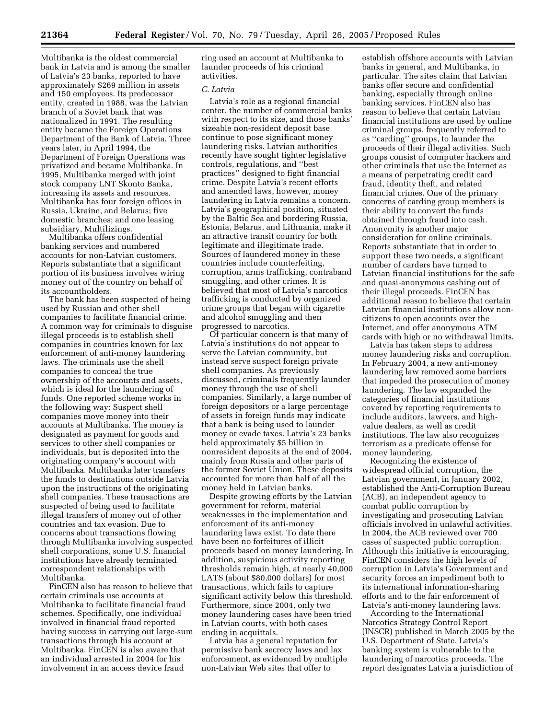Multibanka is the oldest commercial bank in Latvia and is among the smaller of Latvia's 23 banks, reported to have approximately \$269 million in assets and 150 employees. Its predecessor entity, created in 1988, was the Latvian branch of a Soviet bank that was nationalized in 1991. The resulting entity became the Foreign Operations Department of the Bank of Latvia. Three years later, in April 1994, the Department of Foreign Operations was privatized and became Multibanka. In 1995, Multibanka merged with joint stock company LNT Skonto Banka, increasing its assets and resources. Multibanka has four foreign offices in Russia, Ukraine, and Belarus; five domestic branches; and one leasing subsidiary, Multilizings.

Multibanka offers confidential banking services and numbered accounts for non-Latvian customers. Reports substantiate that a significant portion of its business involves wiring money out of the country on behalf of its accountholders.

The bank has been suspected of being used by Russian and other shell companies to facilitate financial crime. A common way for criminals to disguise illegal proceeds is to establish shell companies in countries known for lax enforcement of anti-money laundering laws. The criminals use the shell companies to conceal the true ownership of the accounts and assets, which is ideal for the laundering of funds. One reported scheme works in the following way: Suspect shell companies move money into their accounts at Multibanka. The money is designated as payment for goods and services to other shell companies or individuals, but is deposited into the originating company's account with Multibanka. Multibanka later transfers the funds to destinations outside Latvia upon the instructions of the originating shell companies. These transactions are suspected of being used to facilitate illegal transfers of money out of other countries and tax evasion. Due to concerns about transactions flowing through Multibanka involving suspected shell corporations, some U.S. financial institutions have already terminated correspondent relationships with Multibanka.

FinCEN also has reason to believe that certain criminals use accounts at Multibanka to facilitate financial fraud schemes. Specifically, one individual involved in financial fraud reported having success in carrying out large-sum transactions through his account at Multibanka. FinCEN is also aware that an individual arrested in 2004 for his involvement in an access device fraud

ring used an account at Multibanka to launder proceeds of his criminal activities.

# *C. Latvia*

Latvia's role as a regional financial center, the number of commercial banks with respect to its size, and those banks' sizeable non-resident deposit base continue to pose significant money laundering risks. Latvian authorities recently have sought tighter legislative controls, regulations, and ''best practices'' designed to fight financial crime. Despite Latvia's recent efforts and amended laws, however, money laundering in Latvia remains a concern. Latvia's geographical position, situated by the Baltic Sea and bordering Russia, Estonia, Belarus, and Lithuania, make it an attractive transit country for both legitimate and illegitimate trade. Sources of laundered money in these countries include counterfeiting, corruption, arms trafficking, contraband smuggling, and other crimes. It is believed that most of Latvia's narcotics trafficking is conducted by organized crime groups that began with cigarette and alcohol smuggling and then progressed to narcotics.

Of particular concern is that many of Latvia's institutions do not appear to serve the Latvian community, but instead serve suspect foreign private shell companies. As previously discussed, criminals frequently launder money through the use of shell companies. Similarly, a large number of foreign depositors or a large percentage of assets in foreign funds may indicate that a bank is being used to launder money or evade taxes. Latvia's 23 banks held approximately \$5 billion in nonresident deposits at the end of 2004, mainly from Russia and other parts of the former Soviet Union. These deposits accounted for more than half of all the money held in Latvian banks.

Despite growing efforts by the Latvian government for reform, material weaknesses in the implementation and enforcement of its anti-money laundering laws exist. To date there have been no forfeitures of illicit proceeds based on money laundering. In addition, suspicious activity reporting thresholds remain high, at nearly 40,000 LATS (about \$80,000 dollars) for most transactions, which fails to capture significant activity below this threshold. Furthermore, since 2004, only two money laundering cases have been tried in Latvian courts, with both cases ending in acquittals.

Latvia has a general reputation for permissive bank secrecy laws and lax enforcement, as evidenced by multiple non-Latvian Web sites that offer to

establish offshore accounts with Latvian banks in general, and Multibanka, in particular. The sites claim that Latvian banks offer secure and confidential banking, especially through online banking services. FinCEN also has reason to believe that certain Latvian financial institutions are used by online criminal groups, frequently referred to as ''carding'' groups, to launder the proceeds of their illegal activities. Such groups consist of computer hackers and other criminals that use the Internet as a means of perpetrating credit card fraud, identity theft, and related financial crimes. One of the primary concerns of carding group members is their ability to convert the funds obtained through fraud into cash. Anonymity is another major consideration for online criminals. Reports substantiate that in order to support these two needs, a significant number of carders have turned to Latvian financial institutions for the safe and quasi-anonymous cashing out of their illegal proceeds. FinCEN has additional reason to believe that certain Latvian financial institutions allow noncitizens to open accounts over the Internet, and offer anonymous ATM cards with high or no withdrawal limits.

Latvia has taken steps to address money laundering risks and corruption. In February 2004, a new anti-money laundering law removed some barriers that impeded the prosecution of money laundering. The law expanded the categories of financial institutions covered by reporting requirements to include auditors, lawyers, and highvalue dealers, as well as credit institutions. The law also recognizes terrorism as a predicate offense for money laundering.

Recognizing the existence of widespread official corruption, the Latvian government, in January 2002, established the Anti-Corruption Bureau (ACB), an independent agency to combat public corruption by investigating and prosecuting Latvian officials involved in unlawful activities. In 2004, the ACB reviewed over 700 cases of suspected public corruption. Although this initiative is encouraging, FinCEN considers the high levels of corruption in Latvia's Government and security forces an impediment both to its international information-sharing efforts and to the fair enforcement of Latvia's anti-money laundering laws.

According to the International Narcotics Strategy Control Report (INSCR) published in March 2005 by the U.S. Department of State, Latvia's banking system is vulnerable to the laundering of narcotics proceeds. The report designates Latvia a jurisdiction of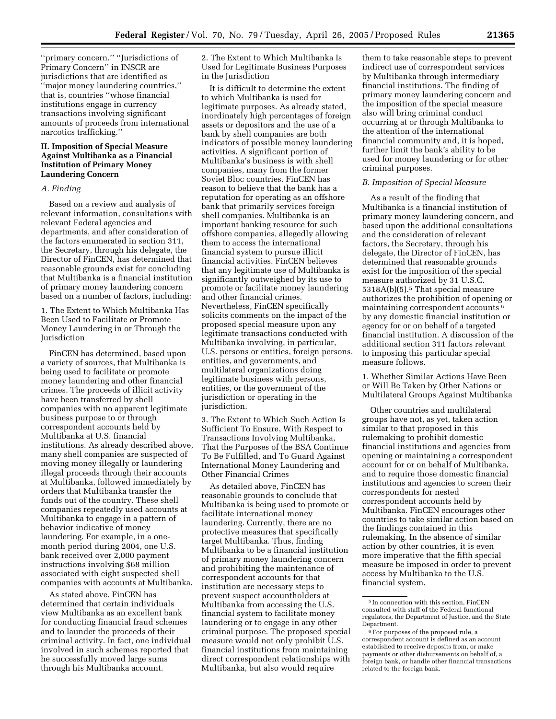''primary concern.'' ''Jurisdictions of Primary Concern'' in INSCR are jurisdictions that are identified as 'major money laundering countries," that is, countries ''whose financial institutions engage in currency transactions involving significant amounts of proceeds from international narcotics trafficking.''

# **II. Imposition of Special Measure Against Multibanka as a Financial Institution of Primary Money Laundering Concern**

# *A. Finding*

Based on a review and analysis of relevant information, consultations with relevant Federal agencies and departments, and after consideration of the factors enumerated in section 311, the Secretary, through his delegate, the Director of FinCEN, has determined that reasonable grounds exist for concluding that Multibanka is a financial institution of primary money laundering concern based on a number of factors, including:

1. The Extent to Which Multibanka Has Been Used to Facilitate or Promote Money Laundering in or Through the Jurisdiction

FinCEN has determined, based upon a variety of sources, that Multibanka is being used to facilitate or promote money laundering and other financial crimes. The proceeds of illicit activity have been transferred by shell companies with no apparent legitimate business purpose to or through correspondent accounts held by Multibanka at U.S. financial institutions. As already described above, many shell companies are suspected of moving money illegally or laundering illegal proceeds through their accounts at Multibanka, followed immediately by orders that Multibanka transfer the funds out of the country. These shell companies repeatedly used accounts at Multibanka to engage in a pattern of behavior indicative of money laundering. For example, in a onemonth period during 2004, one U.S. bank received over 2,000 payment instructions involving \$68 million associated with eight suspected shell companies with accounts at Multibanka.

As stated above, FinCEN has determined that certain individuals view Multibanka as an excellent bank for conducting financial fraud schemes and to launder the proceeds of their criminal activity. In fact, one individual involved in such schemes reported that he successfully moved large sums through his Multibanka account.

2. The Extent to Which Multibanka Is Used for Legitimate Business Purposes in the Jurisdiction

It is difficult to determine the extent to which Multibanka is used for legitimate purposes. As already stated, inordinately high percentages of foreign assets or depositors and the use of a bank by shell companies are both indicators of possible money laundering activities. A significant portion of Multibanka's business is with shell companies, many from the former Soviet Bloc countries. FinCEN has reason to believe that the bank has a reputation for operating as an offshore bank that primarily services foreign shell companies. Multibanka is an important banking resource for such offshore companies, allegedly allowing them to access the international financial system to pursue illicit financial activities. FinCEN believes that any legitimate use of Multibanka is significantly outweighed by its use to promote or facilitate money laundering and other financial crimes. Nevertheless, FinCEN specifically solicits comments on the impact of the proposed special measure upon any legitimate transactions conducted with Multibanka involving, in particular, U.S. persons or entities, foreign persons, entities, and governments, and multilateral organizations doing legitimate business with persons, entities, or the government of the jurisdiction or operating in the jurisdiction.

3. The Extent to Which Such Action Is Sufficient To Ensure, With Respect to Transactions Involving Multibanka, That the Purposes of the BSA Continue To Be Fulfilled, and To Guard Against International Money Laundering and Other Financial Crimes

As detailed above, FinCEN has reasonable grounds to conclude that Multibanka is being used to promote or facilitate international money laundering. Currently, there are no protective measures that specifically target Multibanka. Thus, finding Multibanka to be a financial institution of primary money laundering concern and prohibiting the maintenance of correspondent accounts for that institution are necessary steps to prevent suspect accountholders at Multibanka from accessing the U.S. financial system to facilitate money laundering or to engage in any other criminal purpose. The proposed special measure would not only prohibit U.S. financial institutions from maintaining direct correspondent relationships with Multibanka, but also would require

them to take reasonable steps to prevent indirect use of correspondent services by Multibanka through intermediary financial institutions. The finding of primary money laundering concern and the imposition of the special measure also will bring criminal conduct occurring at or through Multibanka to the attention of the international financial community and, it is hoped, further limit the bank's ability to be used for money laundering or for other criminal purposes.

### *B. Imposition of Special Measure*

As a result of the finding that Multibanka is a financial institution of primary money laundering concern, and based upon the additional consultations and the consideration of relevant factors, the Secretary, through his delegate, the Director of FinCEN, has determined that reasonable grounds exist for the imposition of the special measure authorized by 31 U.S.C. 5318A(b)(5).<sup>5</sup> That special measure authorizes the prohibition of opening or maintaining correspondent accounts 6 by any domestic financial institution or agency for or on behalf of a targeted financial institution. A discussion of the additional section 311 factors relevant to imposing this particular special measure follows.

1. Whether Similar Actions Have Been or Will Be Taken by Other Nations or Multilateral Groups Against Multibanka

Other countries and multilateral groups have not, as yet, taken action similar to that proposed in this rulemaking to prohibit domestic financial institutions and agencies from opening or maintaining a correspondent account for or on behalf of Multibanka, and to require those domestic financial institutions and agencies to screen their correspondents for nested correspondent accounts held by Multibanka. FinCEN encourages other countries to take similar action based on the findings contained in this rulemaking. In the absence of similar action by other countries, it is even more imperative that the fifth special measure be imposed in order to prevent access by Multibanka to the U.S. financial system.

<sup>5</sup> In connection with this section, FinCEN consulted with staff of the Federal functional regulators, the Department of Justice, and the State Department.

<sup>&</sup>lt;sup>6</sup> For purposes of the proposed rule, a correspondent account is defined as an account established to receive deposits from, or make payments or other disbursements on behalf of, a foreign bank, or handle other financial transactions related to the foreign bank.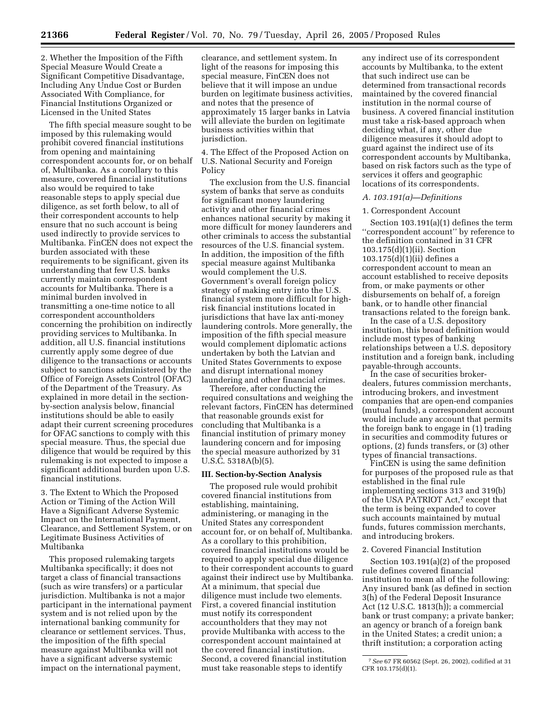2. Whether the Imposition of the Fifth Special Measure Would Create a Significant Competitive Disadvantage, Including Any Undue Cost or Burden Associated With Compliance, for Financial Institutions Organized or Licensed in the United States

The fifth special measure sought to be imposed by this rulemaking would prohibit covered financial institutions from opening and maintaining correspondent accounts for, or on behalf of, Multibanka. As a corollary to this measure, covered financial institutions also would be required to take reasonable steps to apply special due diligence, as set forth below, to all of their correspondent accounts to help ensure that no such account is being used indirectly to provide services to Multibanka. FinCEN does not expect the burden associated with these requirements to be significant, given its understanding that few U.S. banks currently maintain correspondent accounts for Multibanka. There is a minimal burden involved in transmitting a one-time notice to all correspondent accountholders concerning the prohibition on indirectly providing services to Multibanka. In addition, all U.S. financial institutions currently apply some degree of due diligence to the transactions or accounts subject to sanctions administered by the Office of Foreign Assets Control (OFAC) of the Department of the Treasury. As explained in more detail in the sectionby-section analysis below, financial institutions should be able to easily adapt their current screening procedures for OFAC sanctions to comply with this special measure. Thus, the special due diligence that would be required by this rulemaking is not expected to impose a significant additional burden upon U.S. financial institutions.

3. The Extent to Which the Proposed Action or Timing of the Action Will Have a Significant Adverse Systemic Impact on the International Payment, Clearance, and Settlement System, or on Legitimate Business Activities of Multibanka

This proposed rulemaking targets Multibanka specifically; it does not target a class of financial transactions (such as wire transfers) or a particular jurisdiction. Multibanka is not a major participant in the international payment system and is not relied upon by the international banking community for clearance or settlement services. Thus, the imposition of the fifth special measure against Multibanka will not have a significant adverse systemic impact on the international payment,

clearance, and settlement system. In light of the reasons for imposing this special measure, FinCEN does not believe that it will impose an undue burden on legitimate business activities, and notes that the presence of approximately 15 larger banks in Latvia will alleviate the burden on legitimate business activities within that jurisdiction.

4. The Effect of the Proposed Action on U.S. National Security and Foreign Policy

The exclusion from the U.S. financial system of banks that serve as conduits for significant money laundering activity and other financial crimes enhances national security by making it more difficult for money launderers and other criminals to access the substantial resources of the U.S. financial system. In addition, the imposition of the fifth special measure against Multibanka would complement the U.S. Government's overall foreign policy strategy of making entry into the U.S. financial system more difficult for highrisk financial institutions located in jurisdictions that have lax anti-money laundering controls. More generally, the imposition of the fifth special measure would complement diplomatic actions undertaken by both the Latvian and United States Governments to expose and disrupt international money laundering and other financial crimes.

Therefore, after conducting the required consultations and weighing the relevant factors, FinCEN has determined that reasonable grounds exist for concluding that Multibanka is a financial institution of primary money laundering concern and for imposing the special measure authorized by 31 U.S.C. 5318A(b)(5).

#### **III. Section-by-Section Analysis**

The proposed rule would prohibit covered financial institutions from establishing, maintaining, administering, or managing in the United States any correspondent account for, or on behalf of, Multibanka. As a corollary to this prohibition, covered financial institutions would be required to apply special due diligence to their correspondent accounts to guard against their indirect use by Multibanka. At a minimum, that special due diligence must include two elements. First, a covered financial institution must notify its correspondent accountholders that they may not provide Multibanka with access to the correspondent account maintained at the covered financial institution. Second, a covered financial institution must take reasonable steps to identify

any indirect use of its correspondent accounts by Multibanka, to the extent that such indirect use can be determined from transactional records maintained by the covered financial institution in the normal course of business. A covered financial institution must take a risk-based approach when deciding what, if any, other due diligence measures it should adopt to guard against the indirect use of its correspondent accounts by Multibanka, based on risk factors such as the type of services it offers and geographic locations of its correspondents.

#### *A. 103.191(a)—Definitions*

#### 1. Correspondent Account

Section 103.191(a)(1) defines the term ''correspondent account'' by reference to the definition contained in 31 CFR 103.175(d)(1)(ii). Section 103.175(d)(1)(ii) defines a correspondent account to mean an account established to receive deposits from, or make payments or other disbursements on behalf of, a foreign bank, or to handle other financial transactions related to the foreign bank.

In the case of a U.S. depository institution, this broad definition would include most types of banking relationships between a U.S. depository institution and a foreign bank, including payable-through accounts.

In the case of securities brokerdealers, futures commission merchants, introducing brokers, and investment companies that are open-end companies (mutual funds), a correspondent account would include any account that permits the foreign bank to engage in (1) trading in securities and commodity futures or options, (2) funds transfers, or (3) other types of financial transactions.

FinCEN is using the same definition for purposes of the proposed rule as that established in the final rule implementing sections 313 and 319(b) of the USA PATRIOT Act,7 except that the term is being expanded to cover such accounts maintained by mutual funds, futures commission merchants, and introducing brokers.

# 2. Covered Financial Institution

Section 103.191(a)(2) of the proposed rule defines covered financial institution to mean all of the following: Any insured bank (as defined in section 3(h) of the Federal Deposit Insurance Act (12 U.S.C. 1813(h)); a commercial bank or trust company; a private banker; an agency or branch of a foreign bank in the United States; a credit union; a thrift institution; a corporation acting

<sup>7</sup>*See* 67 FR 60562 (Sept. 26, 2002), codified at 31 CFR 103.175(d)(1).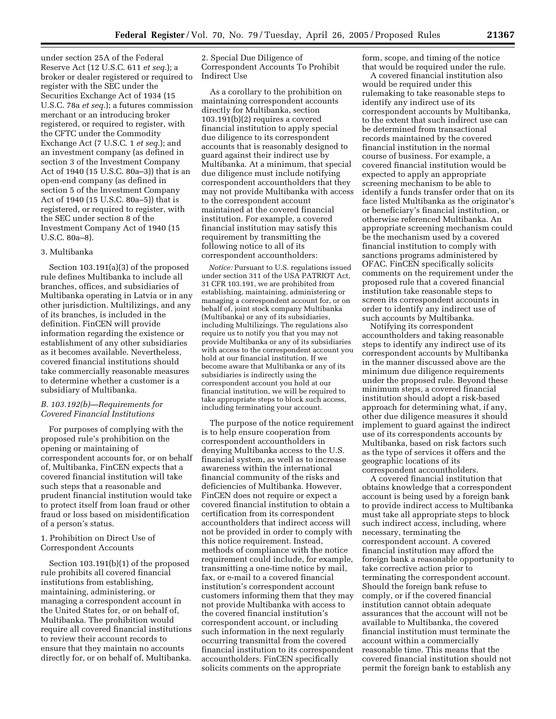under section 25A of the Federal Reserve Act (12 U.S.C. 611 *et seq.*); a broker or dealer registered or required to register with the SEC under the Securities Exchange Act of 1934 (15 U.S.C. 78a *et seq.*); a futures commission merchant or an introducing broker registered, or required to register, with the CFTC under the Commodity Exchange Act (7 U.S.C. 1 *et seq.*); and an investment company (as defined in section 3 of the Investment Company Act of 1940 (15 U.S.C. 80a–3)) that is an open-end company (as defined in section 5 of the Investment Company Act of 1940 (15 U.S.C. 80a–5)) that is registered, or required to register, with the SEC under section 8 of the Investment Company Act of 1940 (15 U.S.C. 80a–8).

#### 3. Multibanka

Section 103.191(a)(3) of the proposed rule defines Multibanka to include all branches, offices, and subsidiaries of Multibanka operating in Latvia or in any other jurisdiction. Multilizings, and any of its branches, is included in the definition. FinCEN will provide information regarding the existence or establishment of any other subsidiaries as it becomes available. Nevertheless, covered financial institutions should take commercially reasonable measures to determine whether a customer is a subsidiary of Multibanka.

# *B. 103.192(b)—Requirements for Covered Financial Institutions*

For purposes of complying with the proposed rule's prohibition on the opening or maintaining of correspondent accounts for, or on behalf of, Multibanka, FinCEN expects that a covered financial institution will take such steps that a reasonable and prudent financial institution would take to protect itself from loan fraud or other fraud or loss based on misidentification of a person's status.

# 1. Prohibition on Direct Use of Correspondent Accounts

Section 103.191(b)(1) of the proposed rule prohibits all covered financial institutions from establishing, maintaining, administering, or managing a correspondent account in the United States for, or on behalf of, Multibanka. The prohibition would require all covered financial institutions to review their account records to ensure that they maintain no accounts directly for, or on behalf of, Multibanka.

2. Special Due Diligence of Correspondent Accounts To Prohibit Indirect Use

As a corollary to the prohibition on maintaining correspondent accounts directly for Multibanka, section 103.191(b)(2) requires a covered financial institution to apply special due diligence to its correspondent accounts that is reasonably designed to guard against their indirect use by Multibanka. At a minimum, that special due diligence must include notifying correspondent accountholders that they may not provide Multibanka with access to the correspondent account maintained at the covered financial institution. For example, a covered financial institution may satisfy this requirement by transmitting the following notice to all of its correspondent accountholders:

*Notice:* Pursuant to U.S. regulations issued under section 311 of the USA PATRIOT Act, 31 CFR 103.191, we are prohibited from establishing, maintaining, administering or managing a correspondent account for, or on behalf of, joint stock company Multibanka (Multibanka) or any of its subsidiaries, including Multilizings. The regulations also require us to notify you that you may not provide Multibanka or any of its subsidiaries with access to the correspondent account you hold at our financial institution. If we become aware that Multibanka or any of its subsidiaries is indirectly using the correspondent account you hold at our financial institution, we will be required to take appropriate steps to block such access, including terminating your account.

The purpose of the notice requirement is to help ensure cooperation from correspondent accountholders in denying Multibanka access to the U.S. financial system, as well as to increase awareness within the international financial community of the risks and deficiencies of Multibanka. However, FinCEN does not require or expect a covered financial institution to obtain a certification from its correspondent accountholders that indirect access will not be provided in order to comply with this notice requirement. Instead, methods of compliance with the notice requirement could include, for example, transmitting a one-time notice by mail, fax, or e-mail to a covered financial institution's correspondent account customers informing them that they may not provide Multibanka with access to the covered financial institution's correspondent account, or including such information in the next regularly occurring transmittal from the covered financial institution to its correspondent accountholders. FinCEN specifically solicits comments on the appropriate

form, scope, and timing of the notice that would be required under the rule.

A covered financial institution also would be required under this rulemaking to take reasonable steps to identify any indirect use of its correspondent accounts by Multibanka, to the extent that such indirect use can be determined from transactional records maintained by the covered financial institution in the normal course of business. For example, a covered financial institution would be expected to apply an appropriate screening mechanism to be able to identify a funds transfer order that on its face listed Multibanka as the originator's or beneficiary's financial institution, or otherwise referenced Multibanka. An appropriate screening mechanism could be the mechanism used by a covered financial institution to comply with sanctions programs administered by OFAC. FinCEN specifically solicits comments on the requirement under the proposed rule that a covered financial institution take reasonable steps to screen its correspondent accounts in order to identify any indirect use of such accounts by Multibanka.

Notifying its correspondent accountholders and taking reasonable steps to identify any indirect use of its correspondent accounts by Multibanka in the manner discussed above are the minimum due diligence requirements under the proposed rule. Beyond these minimum steps, a covered financial institution should adopt a risk-based approach for determining what, if any, other due diligence measures it should implement to guard against the indirect use of its correspondents accounts by Multibanka, based on risk factors such as the type of services it offers and the geographic locations of its correspondent accountholders.

A covered financial institution that obtains knowledge that a correspondent account is being used by a foreign bank to provide indirect access to Multibanka must take all appropriate steps to block such indirect access, including, where necessary, terminating the correspondent account. A covered financial institution may afford the foreign bank a reasonable opportunity to take corrective action prior to terminating the correspondent account. Should the foreign bank refuse to comply, or if the covered financial institution cannot obtain adequate assurances that the account will not be available to Multibanka, the covered financial institution must terminate the account within a commercially reasonable time. This means that the covered financial institution should not permit the foreign bank to establish any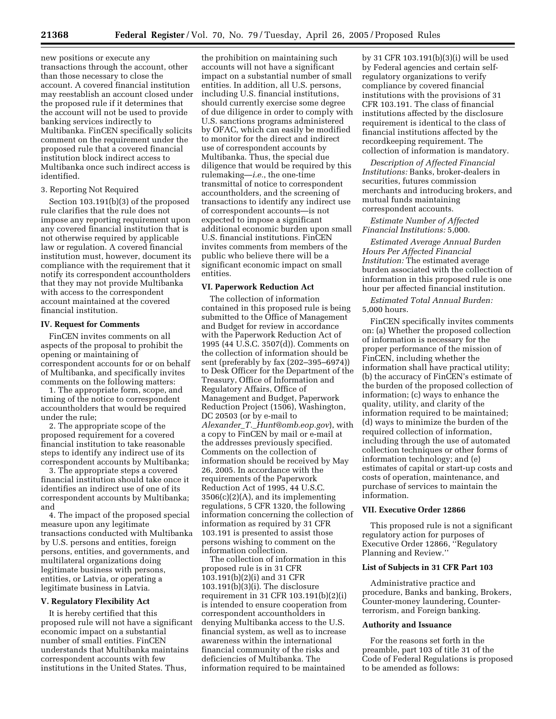new positions or execute any transactions through the account, other than those necessary to close the account. A covered financial institution may reestablish an account closed under the proposed rule if it determines that the account will not be used to provide banking services indirectly to Multibanka. FinCEN specifically solicits comment on the requirement under the proposed rule that a covered financial institution block indirect access to Multibanka once such indirect access is identified.

# 3. Reporting Not Required

Section 103.191(b)(3) of the proposed rule clarifies that the rule does not impose any reporting requirement upon any covered financial institution that is not otherwise required by applicable law or regulation. A covered financial institution must, however, document its compliance with the requirement that it notify its correspondent accountholders that they may not provide Multibanka with access to the correspondent account maintained at the covered financial institution.

# **IV. Request for Comments**

FinCEN invites comments on all aspects of the proposal to prohibit the opening or maintaining of correspondent accounts for or on behalf of Multibanka, and specifically invites comments on the following matters:

1. The appropriate form, scope, and timing of the notice to correspondent accountholders that would be required under the rule;

2. The appropriate scope of the proposed requirement for a covered financial institution to take reasonable steps to identify any indirect use of its correspondent accounts by Multibanka;

3. The appropriate steps a covered financial institution should take once it identifies an indirect use of one of its correspondent accounts by Multibanka; and

4. The impact of the proposed special measure upon any legitimate transactions conducted with Multibanka by U.S. persons and entities, foreign persons, entities, and governments, and multilateral organizations doing legitimate business with persons, entities, or Latvia, or operating a legitimate business in Latvia.

#### **V. Regulatory Flexibility Act**

It is hereby certified that this proposed rule will not have a significant economic impact on a substantial number of small entities. FinCEN understands that Multibanka maintains correspondent accounts with few institutions in the United States. Thus,

the prohibition on maintaining such accounts will not have a significant impact on a substantial number of small entities. In addition, all U.S. persons, including U.S. financial institutions, should currently exercise some degree of due diligence in order to comply with U.S. sanctions programs administered by OFAC, which can easily be modified to monitor for the direct and indirect use of correspondent accounts by Multibanka. Thus, the special due diligence that would be required by this rulemaking—*i.e.*, the one-time transmittal of notice to correspondent accountholders, and the screening of transactions to identify any indirect use of correspondent accounts—is not expected to impose a significant additional economic burden upon small U.S. financial institutions. FinCEN invites comments from members of the public who believe there will be a significant economic impact on small entities.

# **VI. Paperwork Reduction Act**

The collection of information contained in this proposed rule is being submitted to the Office of Management and Budget for review in accordance with the Paperwork Reduction Act of 1995 (44 U.S.C. 3507(d)). Comments on the collection of information should be sent (preferably by fax (202–395–6974)) to Desk Officer for the Department of the Treasury, Office of Information and Regulatory Affairs, Office of Management and Budget, Paperwork Reduction Project (1506), Washington, DC 20503 (or by e-mail to *Alexander*\_*T.*\_*[Hunt@omb.eop.gov](mailto:Alexander_T._Hunt@omb.eop.gov)*), with a copy to FinCEN by mail or e-mail at the addresses previously specified. Comments on the collection of information should be received by May 26, 2005. In accordance with the requirements of the Paperwork Reduction Act of 1995, 44 U.S.C. 3506(c)(2)(A), and its implementing regulations, 5 CFR 1320, the following information concerning the collection of information as required by 31 CFR 103.191 is presented to assist those persons wishing to comment on the information collection.

The collection of information in this proposed rule is in 31 CFR 103.191(b)(2)(i) and 31 CFR 103.191(b)(3)(i). The disclosure requirement in 31 CFR 103.191(b)(2)(i) is intended to ensure cooperation from correspondent accountholders in denying Multibanka access to the U.S. financial system, as well as to increase awareness within the international financial community of the risks and deficiencies of Multibanka. The information required to be maintained

by 31 CFR 103.191(b)(3)(i) will be used by Federal agencies and certain selfregulatory organizations to verify compliance by covered financial institutions with the provisions of 31 CFR 103.191. The class of financial institutions affected by the disclosure requirement is identical to the class of financial institutions affected by the recordkeeping requirement. The collection of information is mandatory.

*Description of Affected Financial Institutions:* Banks, broker-dealers in securities, futures commission merchants and introducing brokers, and mutual funds maintaining correspondent accounts.

*Estimate Number of Affected Financial Institutions:* 5,000.

*Estimated Average Annual Burden Hours Per Affected Financial Institution:* The estimated average burden associated with the collection of information in this proposed rule is one hour per affected financial institution.

*Estimated Total Annual Burden:* 5,000 hours.

FinCEN specifically invites comments on: (a) Whether the proposed collection of information is necessary for the proper performance of the mission of FinCEN, including whether the information shall have practical utility; (b) the accuracy of FinCEN's estimate of the burden of the proposed collection of information; (c) ways to enhance the quality, utility, and clarity of the information required to be maintained; (d) ways to minimize the burden of the required collection of information. including through the use of automated collection techniques or other forms of information technology; and (e) estimates of capital or start-up costs and costs of operation, maintenance, and purchase of services to maintain the information.

#### **VII. Executive Order 12866**

This proposed rule is not a significant regulatory action for purposes of Executive Order 12866, ''Regulatory Planning and Review.''

# **List of Subjects in 31 CFR Part 103**

Administrative practice and procedure, Banks and banking, Brokers, Counter-money laundering, Counterterrorism, and Foreign banking.

#### **Authority and Issuance**

For the reasons set forth in the preamble, part 103 of title 31 of the Code of Federal Regulations is proposed to be amended as follows: